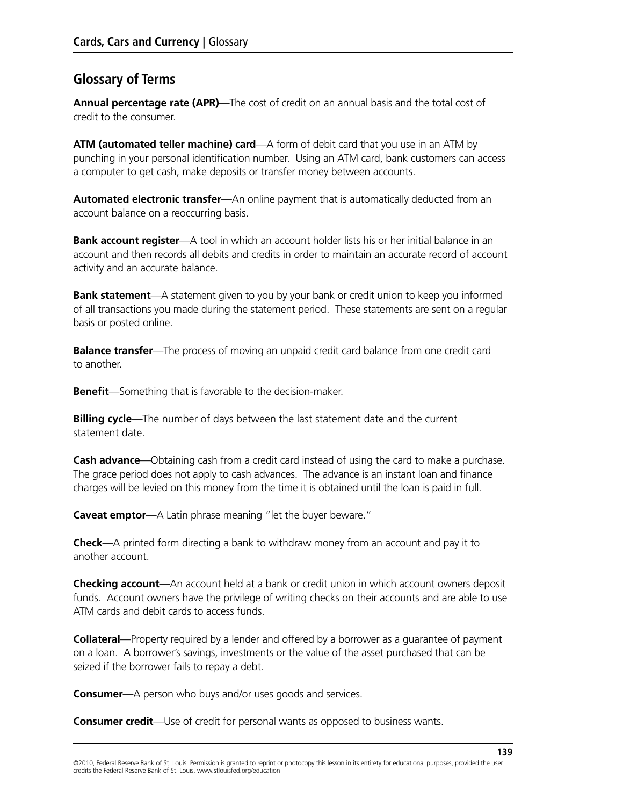## **Glossary of Terms**

**Annual percentage rate (APR)**—The cost of credit on an annual basis and the total cost of credit to the consumer.

**ATM (automated teller machine) card**—A form of debit card that you use in an ATM by punching in your personal identification number. Using an ATM card, bank customers can access a computer to get cash, make deposits or transfer money between accounts.

**Automated electronic transfer**—An online payment that is automatically deducted from an account balance on a reoccurring basis.

**Bank account register**—A tool in which an account holder lists his or her initial balance in an account and then records all debits and credits in order to maintain an accurate record of account activity and an accurate balance.

**Bank statement**—A statement given to you by your bank or credit union to keep you informed of all transactions you made during the statement period. These statements are sent on a regular basis or posted online.

**Balance transfer**—The process of moving an unpaid credit card balance from one credit card to another.

**Benefit**—Something that is favorable to the decision-maker.

**Billing cycle**—The number of days between the last statement date and the current statement date.

**Cash advance**—Obtaining cash from a credit card instead of using the card to make a purchase. The grace period does not apply to cash advances. The advance is an instant loan and finance charges will be levied on this money from the time it is obtained until the loan is paid in full.

**Caveat emptor**—A Latin phrase meaning "let the buyer beware."

**Check**—A printed form directing a bank to withdraw money from an account and pay it to another account.

**Checking account**—An account held at a bank or credit union in which account owners deposit funds. Account owners have the privilege of writing checks on their accounts and are able to use ATM cards and debit cards to access funds.

**Collateral**—Property required by a lender and offered by a borrower as a guarantee of payment on a loan. A borrower's savings, investments or the value of the asset purchased that can be seized if the borrower fails to repay a debt.

**Consumer**—A person who buys and/or uses goods and services.

**Consumer credit**—Use of credit for personal wants as opposed to business wants.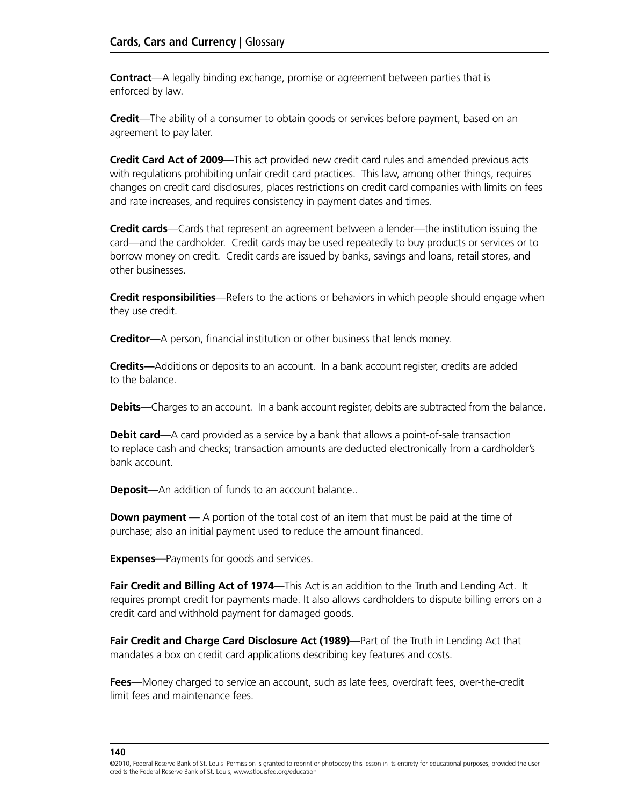**Contract**—A legally binding exchange, promise or agreement between parties that is enforced by law.

**Credit**—The ability of a consumer to obtain goods or services before payment, based on an agreement to pay later.

**Credit Card Act of 2009**—This act provided new credit card rules and amended previous acts with regulations prohibiting unfair credit card practices. This law, among other things, requires changes on credit card disclosures, places restrictions on credit card companies with limits on fees and rate increases, and requires consistency in payment dates and times.

**Credit cards**—Cards that represent an agreement between a lender—the institution issuing the card—and the cardholder. Credit cards may be used repeatedly to buy products or services or to borrow money on credit. Credit cards are issued by banks, savings and loans, retail stores, and other businesses.

**Credit responsibilities**—Refers to the actions or behaviors in which people should engage when they use credit.

**Creditor**—A person, financial institution or other business that lends money.

**Credits—**Additions or deposits to an account. In a bank account register, credits are added to the balance.

**Debits**—Charges to an account. In a bank account register, debits are subtracted from the balance.

**Debit card**—A card provided as a service by a bank that allows a point-of-sale transaction to replace cash and checks; transaction amounts are deducted electronically from a cardholder's bank account.

**Deposit**—An addition of funds to an account balance..

**Down payment** — A portion of the total cost of an item that must be paid at the time of purchase; also an initial payment used to reduce the amount financed.

**Expenses—**Payments for goods and services.

Fair Credit and Billing Act of 1974—This Act is an addition to the Truth and Lending Act. It requires prompt credit for payments made. It also allows cardholders to dispute billing errors on a credit card and withhold payment for damaged goods.

**Fair Credit and Charge Card Disclosure Act (1989)**—Part of the Truth in Lending Act that mandates a box on credit card applications describing key features and costs.

**Fees**—Money charged to service an account, such as late fees, overdraft fees, over-the-credit limit fees and maintenance fees.

<sup>©2010,</sup> Federal Reserve Bank of St. Louis Permission is granted to reprint or photocopy this lesson in its entirety for educational purposes, provided the user credits the Federal Reserve Bank of St. Louis, www.stlouisfed.org/education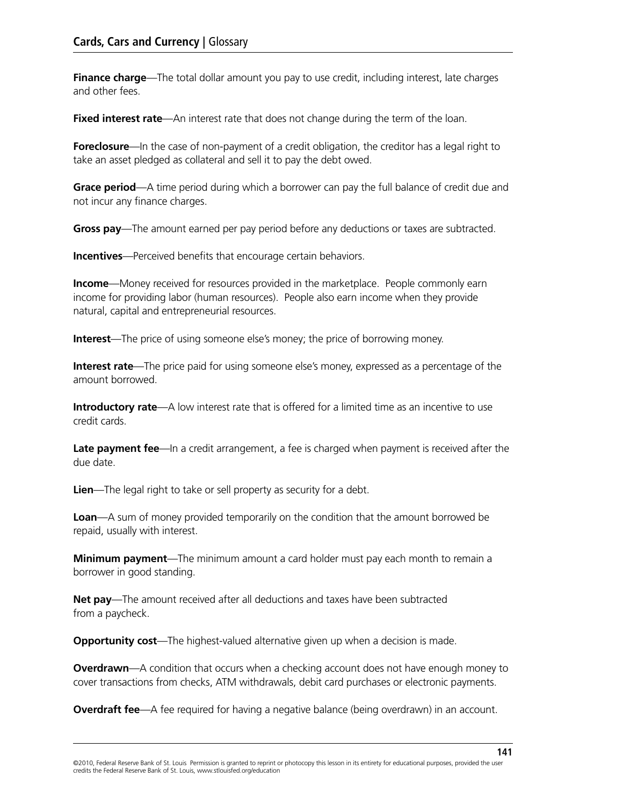**Finance charge**—The total dollar amount you pay to use credit, including interest, late charges and other fees.

**Fixed interest rate**—An interest rate that does not change during the term of the loan.

**Foreclosure**—In the case of non-payment of a credit obligation, the creditor has a legal right to take an asset pledged as collateral and sell it to pay the debt owed.

**Grace period**—A time period during which a borrower can pay the full balance of credit due and not incur any finance charges.

**Gross pay**—The amount earned per pay period before any deductions or taxes are subtracted.

**Incentives**—Perceived benefits that encourage certain behaviors.

**Income**—Money received for resources provided in the marketplace. People commonly earn income for providing labor (human resources). People also earn income when they provide natural, capital and entrepreneurial resources.

**Interest**—The price of using someone else's money; the price of borrowing money.

**Interest rate**—The price paid for using someone else's money, expressed as a percentage of the amount borrowed.

**Introductory rate**—A low interest rate that is offered for a limited time as an incentive to use credit cards.

Late payment fee—In a credit arrangement, a fee is charged when payment is received after the due date.

**Lien**—The legal right to take or sell property as security for a debt.

**Loan**—A sum of money provided temporarily on the condition that the amount borrowed be repaid, usually with interest.

**Minimum payment**—The minimum amount a card holder must pay each month to remain a borrower in good standing.

**Net pay**—The amount received after all deductions and taxes have been subtracted from a paycheck.

**Opportunity cost**—The highest-valued alternative given up when a decision is made.

**Overdrawn**—A condition that occurs when a checking account does not have enough money to cover transactions from checks, ATM withdrawals, debit card purchases or electronic payments.

**Overdraft fee**—A fee required for having a negative balance (being overdrawn) in an account.